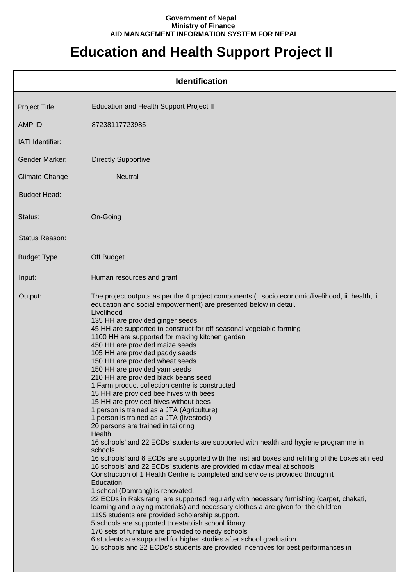## **Government of Nepal Ministry of Finance AID MANAGEMENT INFORMATION SYSTEM FOR NEPAL**

## **Education and Health Support Project II**

| <b>Identification</b> |                                                                                                                                                                                                                                                                                                                                                                                                                                                                                                                                                                                                                                                                                                                                                                                                                                                                                                                                                                                                                                                                                                                                                                                                                                                                                                                                                                                                                                                                                                                                                                                                                                                                                                                                                               |  |
|-----------------------|---------------------------------------------------------------------------------------------------------------------------------------------------------------------------------------------------------------------------------------------------------------------------------------------------------------------------------------------------------------------------------------------------------------------------------------------------------------------------------------------------------------------------------------------------------------------------------------------------------------------------------------------------------------------------------------------------------------------------------------------------------------------------------------------------------------------------------------------------------------------------------------------------------------------------------------------------------------------------------------------------------------------------------------------------------------------------------------------------------------------------------------------------------------------------------------------------------------------------------------------------------------------------------------------------------------------------------------------------------------------------------------------------------------------------------------------------------------------------------------------------------------------------------------------------------------------------------------------------------------------------------------------------------------------------------------------------------------------------------------------------------------|--|
| Project Title:        | Education and Health Support Project II                                                                                                                                                                                                                                                                                                                                                                                                                                                                                                                                                                                                                                                                                                                                                                                                                                                                                                                                                                                                                                                                                                                                                                                                                                                                                                                                                                                                                                                                                                                                                                                                                                                                                                                       |  |
| AMP ID:               | 87238117723985                                                                                                                                                                                                                                                                                                                                                                                                                                                                                                                                                                                                                                                                                                                                                                                                                                                                                                                                                                                                                                                                                                                                                                                                                                                                                                                                                                                                                                                                                                                                                                                                                                                                                                                                                |  |
| IATI Identifier:      |                                                                                                                                                                                                                                                                                                                                                                                                                                                                                                                                                                                                                                                                                                                                                                                                                                                                                                                                                                                                                                                                                                                                                                                                                                                                                                                                                                                                                                                                                                                                                                                                                                                                                                                                                               |  |
| <b>Gender Marker:</b> | <b>Directly Supportive</b>                                                                                                                                                                                                                                                                                                                                                                                                                                                                                                                                                                                                                                                                                                                                                                                                                                                                                                                                                                                                                                                                                                                                                                                                                                                                                                                                                                                                                                                                                                                                                                                                                                                                                                                                    |  |
| <b>Climate Change</b> | Neutral                                                                                                                                                                                                                                                                                                                                                                                                                                                                                                                                                                                                                                                                                                                                                                                                                                                                                                                                                                                                                                                                                                                                                                                                                                                                                                                                                                                                                                                                                                                                                                                                                                                                                                                                                       |  |
| <b>Budget Head:</b>   |                                                                                                                                                                                                                                                                                                                                                                                                                                                                                                                                                                                                                                                                                                                                                                                                                                                                                                                                                                                                                                                                                                                                                                                                                                                                                                                                                                                                                                                                                                                                                                                                                                                                                                                                                               |  |
| Status:               | On-Going                                                                                                                                                                                                                                                                                                                                                                                                                                                                                                                                                                                                                                                                                                                                                                                                                                                                                                                                                                                                                                                                                                                                                                                                                                                                                                                                                                                                                                                                                                                                                                                                                                                                                                                                                      |  |
| Status Reason:        |                                                                                                                                                                                                                                                                                                                                                                                                                                                                                                                                                                                                                                                                                                                                                                                                                                                                                                                                                                                                                                                                                                                                                                                                                                                                                                                                                                                                                                                                                                                                                                                                                                                                                                                                                               |  |
| <b>Budget Type</b>    | Off Budget                                                                                                                                                                                                                                                                                                                                                                                                                                                                                                                                                                                                                                                                                                                                                                                                                                                                                                                                                                                                                                                                                                                                                                                                                                                                                                                                                                                                                                                                                                                                                                                                                                                                                                                                                    |  |
| Input:                | Human resources and grant                                                                                                                                                                                                                                                                                                                                                                                                                                                                                                                                                                                                                                                                                                                                                                                                                                                                                                                                                                                                                                                                                                                                                                                                                                                                                                                                                                                                                                                                                                                                                                                                                                                                                                                                     |  |
| Output:               | The project outputs as per the 4 project components (i. socio economic/livelihood, ii. health, iii.<br>education and social empowerment) are presented below in detail.<br>Livelihood<br>135 HH are provided ginger seeds.<br>45 HH are supported to construct for off-seasonal vegetable farming<br>1100 HH are supported for making kitchen garden<br>450 HH are provided maize seeds<br>105 HH are provided paddy seeds<br>150 HH are provided wheat seeds<br>150 HH are provided yam seeds<br>210 HH are provided black beans seed<br>1 Farm product collection centre is constructed<br>15 HH are provided bee hives with bees<br>15 HH are provided hives without bees<br>1 person is trained as a JTA (Agriculture)<br>1 person is trained as a JTA (livestock)<br>20 persons are trained in tailoring<br>Health<br>16 schools' and 22 ECDs' students are supported with health and hygiene programme in<br>schools<br>16 schools' and 6 ECDs are supported with the first aid boxes and refilling of the boxes at need<br>16 schools' and 22 ECDs' students are provided midday meal at schools<br>Construction of 1 Health Centre is completed and service is provided through it<br>Education:<br>1 school (Damrang) is renovated.<br>22 ECDs in Raksirang are supported regularly with necessary furnishing (carpet, chakati,<br>learning and playing materials) and necessary clothes a are given for the children<br>1195 students are provided scholarship support.<br>5 schools are supported to establish school library.<br>170 sets of furniture are provided to needy schools<br>6 students are supported for higher studies after school graduation<br>16 schools and 22 ECDs's students are provided incentives for best performances in |  |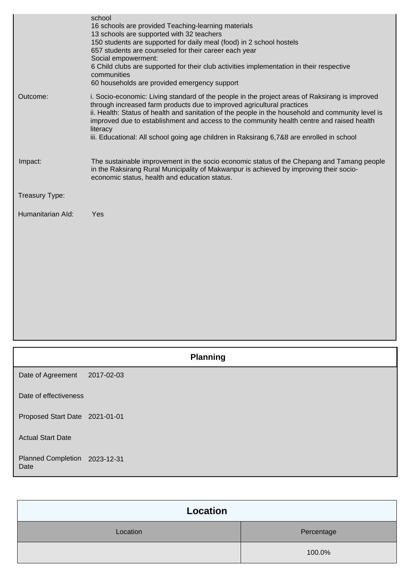|                   | school<br>16 schools are provided Teaching-learning materials<br>13 schools are supported with 32 teachers<br>150 students are supported for daily meal (food) in 2 school hostels<br>657 students are counseled for their career each year<br>Social empowerment:<br>6 Child clubs are supported for their club activities implementation in their respective<br>communities<br>60 households are provided emergency support                                                       |
|-------------------|-------------------------------------------------------------------------------------------------------------------------------------------------------------------------------------------------------------------------------------------------------------------------------------------------------------------------------------------------------------------------------------------------------------------------------------------------------------------------------------|
| Outcome:          | i. Socio-economic: Living standard of the people in the project areas of Raksirang is improved<br>through increased farm products due to improved agricultural practices<br>ii. Health: Status of health and sanitation of the people in the household and community level is<br>improved due to establishment and access to the community health centre and raised health<br>literacy<br>iii. Educational: All school going age children in Raksirang 6,7&8 are enrolled in school |
| Impact:           | The sustainable improvement in the socio economic status of the Chepang and Tamang people<br>in the Raksirang Rural Municipality of Makwanpur is achieved by improving their socio-<br>economic status, health and education status.                                                                                                                                                                                                                                                |
| Treasury Type:    |                                                                                                                                                                                                                                                                                                                                                                                                                                                                                     |
| Humanitarian Ald: | Yes                                                                                                                                                                                                                                                                                                                                                                                                                                                                                 |
|                   |                                                                                                                                                                                                                                                                                                                                                                                                                                                                                     |

|                                       | <b>Planning</b> |  |
|---------------------------------------|-----------------|--|
| Date of Agreement                     | 2017-02-03      |  |
| Date of effectiveness                 |                 |  |
| Proposed Start Date 2021-01-01        |                 |  |
| <b>Actual Start Date</b>              |                 |  |
| Planned Completion 2023-12-31<br>Date |                 |  |

| Location |            |
|----------|------------|
| Location | Percentage |
|          | 100.0%     |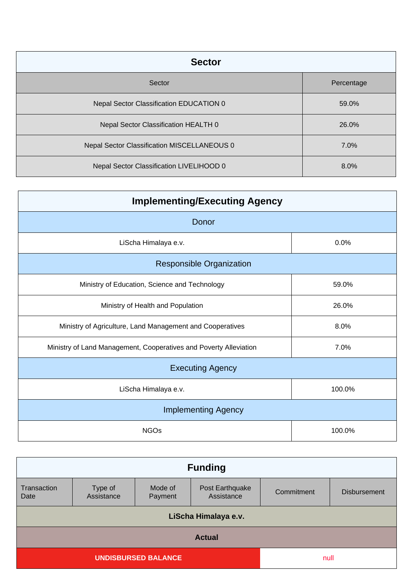| <b>Sector</b>                               |            |
|---------------------------------------------|------------|
| Sector                                      | Percentage |
| Nepal Sector Classification EDUCATION 0     | 59.0%      |
| Nepal Sector Classification HEALTH 0        | 26.0%      |
| Nepal Sector Classification MISCELLANEOUS 0 | 7.0%       |
| Nepal Sector Classification LIVELIHOOD 0    | 8.0%       |

| <b>Implementing/Executing Agency</b>                              |        |  |
|-------------------------------------------------------------------|--------|--|
| Donor                                                             |        |  |
| LiScha Himalaya e.v.                                              | 0.0%   |  |
| <b>Responsible Organization</b>                                   |        |  |
| Ministry of Education, Science and Technology                     | 59.0%  |  |
| Ministry of Health and Population                                 | 26.0%  |  |
| Ministry of Agriculture, Land Management and Cooperatives         | 8.0%   |  |
| Ministry of Land Management, Cooperatives and Poverty Alleviation | 7.0%   |  |
| <b>Executing Agency</b>                                           |        |  |
| LiScha Himalaya e.v.                                              | 100.0% |  |
| <b>Implementing Agency</b>                                        |        |  |
| <b>NGOs</b>                                                       | 100.0% |  |

| <b>Funding</b>                     |                       |                    |                               |            |                     |
|------------------------------------|-----------------------|--------------------|-------------------------------|------------|---------------------|
| Transaction<br>Date                | Type of<br>Assistance | Mode of<br>Payment | Post Earthquake<br>Assistance | Commitment | <b>Disbursement</b> |
|                                    | LiScha Himalaya e.v.  |                    |                               |            |                     |
| <b>Actual</b>                      |                       |                    |                               |            |                     |
| <b>UNDISBURSED BALANCE</b><br>null |                       |                    |                               |            |                     |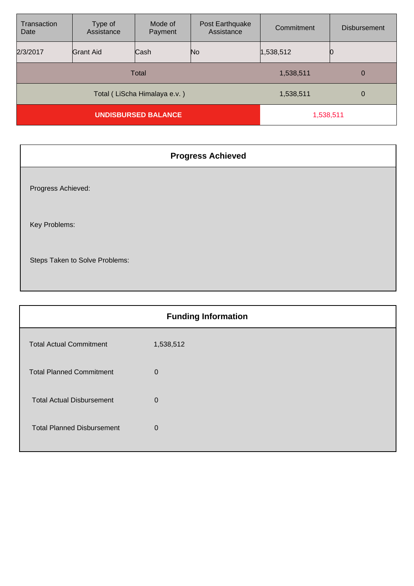| Transaction<br>Date          | Type of<br>Assistance | Mode of<br>Payment | Post Earthquake<br>Assistance | Commitment | <b>Disbursement</b> |
|------------------------------|-----------------------|--------------------|-------------------------------|------------|---------------------|
| 2/3/2017                     | Grant Aid             | Cash               | No                            | 1,538,512  | 0                   |
| Total                        |                       |                    | 1,538,511                     | 0          |                     |
| Total (LiScha Himalaya e.v.) |                       |                    | 1,538,511                     | 0          |                     |
| <b>UNDISBURSED BALANCE</b>   |                       |                    | 1,538,511                     |            |                     |

| <b>Progress Achieved</b>       |
|--------------------------------|
| Progress Achieved:             |
| Key Problems:                  |
| Steps Taken to Solve Problems: |

| <b>Funding Information</b>        |             |  |
|-----------------------------------|-------------|--|
| <b>Total Actual Commitment</b>    | 1,538,512   |  |
| <b>Total Planned Commitment</b>   | $\mathbf 0$ |  |
| <b>Total Actual Disbursement</b>  | $\mathbf 0$ |  |
| <b>Total Planned Disbursement</b> | $\mathbf 0$ |  |
|                                   |             |  |